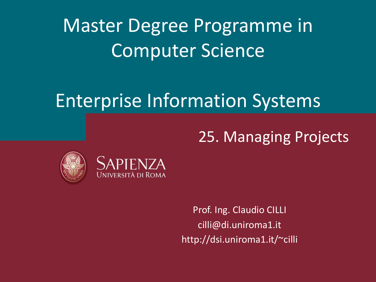Master Degree Programme in Computer Science

### Enterprise Information Systems

#### 25. Managing Projects





Prof. Ing. Claudio CILLI cilli@di.uniroma1.it http://dsi.uniroma1.it/~cilli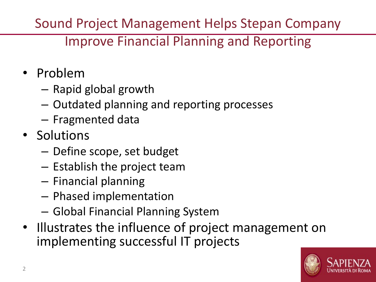Sound Project Management Helps Stepan Company

#### Improve Financial Planning and Reporting

- Problem
	- Rapid global growth
	- Outdated planning and reporting processes
	- Fragmented data
- Solutions
	- Define scope, set budget
	- Establish the project team
	- Financial planning
	- Phased implementation
	- Global Financial Planning System
- Illustrates the influence of project management on implementing successful IT projects

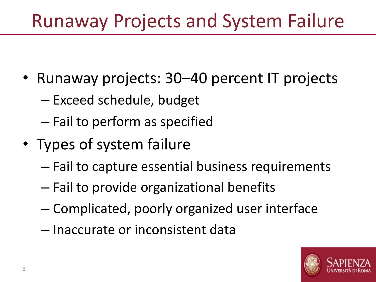## Runaway Projects and System Failure

- Runaway projects: 30–40 percent IT projects
	- Exceed schedule, budget
	- Fail to perform as specified
- Types of system failure
	- Fail to capture essential business requirements
	- Fail to provide organizational benefits
	- Complicated, poorly organized user interface
	- Inaccurate or inconsistent data

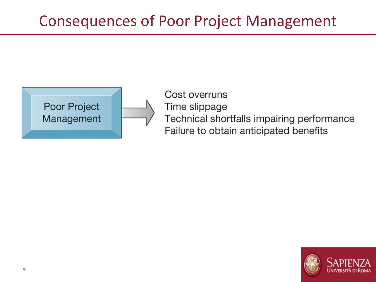#### Consequences of Poor Project Management



Cost overruns Time slippage Technical shortfalls impairing performance Failure to obtain anticipated benefits

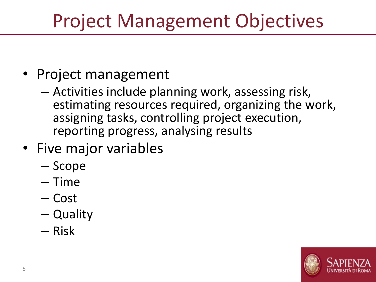# Project Management Objectives

- Project management
	- Activities include planning work, assessing risk, estimating resources required, organizing the work, assigning tasks, controlling project execution, reporting progress, analysing results
- Five major variables
	- Scope
	- Time
	- Cost
	- Quality
	- Risk

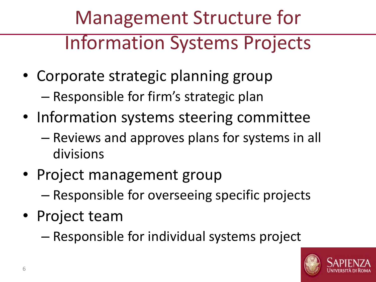# Management Structure for Information Systems Projects

- Corporate strategic planning group – Responsible for firm's strategic plan
- Information systems steering committee
	- Reviews and approves plans for systems in all divisions
- Project management group – Responsible for overseeing specific projects
- Project team
	- Responsible for individual systems project

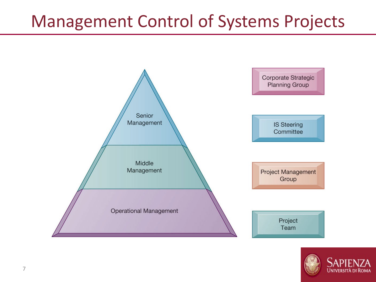#### Management Control of Systems Projects



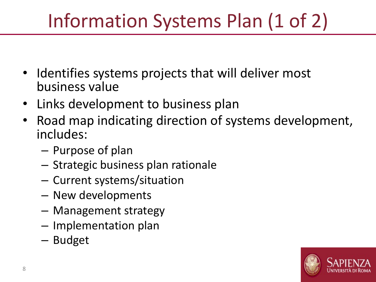# Information Systems Plan (1 of 2)

- Identifies systems projects that will deliver most business value
- Links development to business plan
- Road map indicating direction of systems development, includes:
	- Purpose of plan
	- Strategic business plan rationale
	- Current systems/situation
	- New developments
	- Management strategy
	- Implementation plan
	- Budget

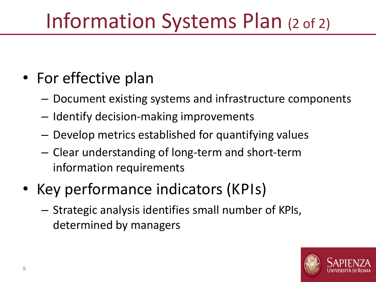# Information Systems Plan (2 of 2)

- For effective plan
	- Document existing systems and infrastructure components
	- Identify decision-making improvements
	- Develop metrics established for quantifying values
	- Clear understanding of long-term and short-term information requirements
- Key performance indicators (KPIs)
	- Strategic analysis identifies small number of KPIs, determined by managers

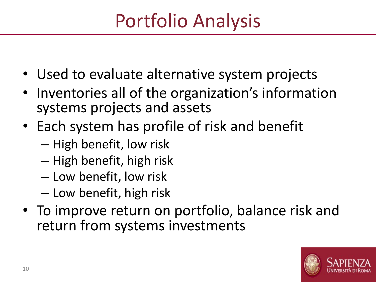# Portfolio Analysis

- Used to evaluate alternative system projects
- Inventories all of the organization's information systems projects and assets
- Each system has profile of risk and benefit
	- High benefit, low risk
	- High benefit, high risk
	- Low benefit, low risk
	- Low benefit, high risk
- To improve return on portfolio, balance risk and return from systems investments

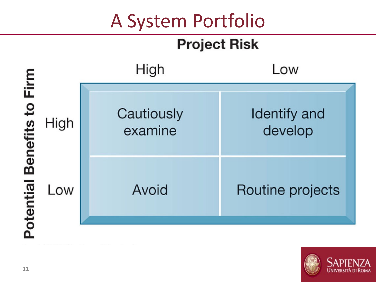## A System Portfolio

#### **Project Risk**



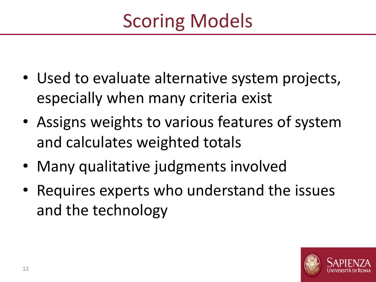- Used to evaluate alternative system projects, especially when many criteria exist
- Assigns weights to various features of system and calculates weighted totals
- Many qualitative judgments involved
- Requires experts who understand the issues and the technology

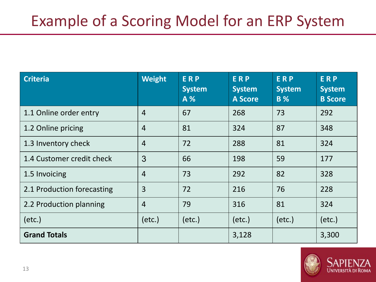#### Example of a Scoring Model for an ERP System

| <b>Criteria</b>            | <b>Weight</b>  | <b>ERP</b><br><b>System</b><br>A % | <b>ERP</b><br><b>System</b><br><b>A Score</b> | <b>ERP</b><br><b>System</b><br><b>B</b> % | <b>ERP</b><br><b>System</b><br><b>B</b> Score |
|----------------------------|----------------|------------------------------------|-----------------------------------------------|-------------------------------------------|-----------------------------------------------|
| 1.1 Online order entry     | $\overline{4}$ | 67                                 | 268                                           | 73                                        | 292                                           |
| 1.2 Online pricing         | $\overline{4}$ | 81                                 | 324                                           | 87                                        | 348                                           |
| 1.3 Inventory check        | $\overline{4}$ | 72                                 | 288                                           | 81                                        | 324                                           |
| 1.4 Customer credit check  | 3              | 66                                 | 198                                           | 59                                        | 177                                           |
| 1.5 Invoicing              | $\overline{4}$ | 73                                 | 292                                           | 82                                        | 328                                           |
| 2.1 Production forecasting | 3              | 72                                 | 216                                           | 76                                        | 228                                           |
| 2.2 Production planning    | $\overline{4}$ | 79                                 | 316                                           | 81                                        | 324                                           |
| (etc.)                     | (etc.)         | (etc.)                             | (etc.)                                        | (etc.)                                    | $(\text{etc.})$                               |
| <b>Grand Totals</b>        |                |                                    | 3,128                                         |                                           | 3,300                                         |

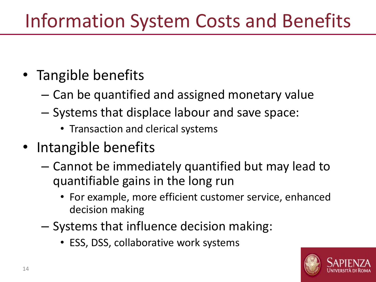## Information System Costs and Benefits

#### • Tangible benefits

- Can be quantified and assigned monetary value
- Systems that displace labour and save space:
	- Transaction and clerical systems
- Intangible benefits
	- Cannot be immediately quantified but may lead to quantifiable gains in the long run
		- For example, more efficient customer service, enhanced decision making
	- Systems that influence decision making:
		- ESS, DSS, collaborative work systems

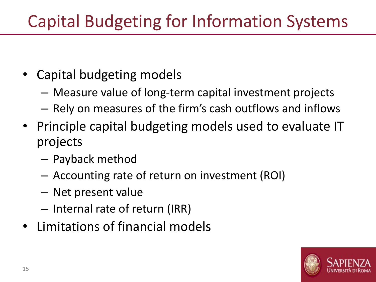### Capital Budgeting for Information Systems

- Capital budgeting models
	- Measure value of long-term capital investment projects
	- Rely on measures of the firm's cash outflows and inflows
- Principle capital budgeting models used to evaluate IT projects
	- Payback method
	- Accounting rate of return on investment (ROI)
	- Net present value
	- Internal rate of return (IRR)
- Limitations of financial models

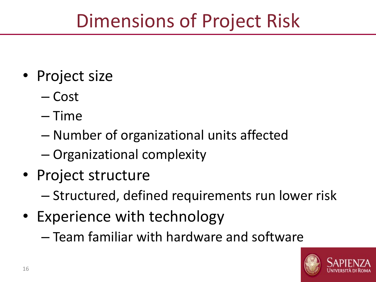## Dimensions of Project Risk

- Project size
	- Cost
	- Time
	- Number of organizational units affected
	- Organizational complexity
- Project structure
	- Structured, defined requirements run lower risk
- Experience with technology
	- Team familiar with hardware and software

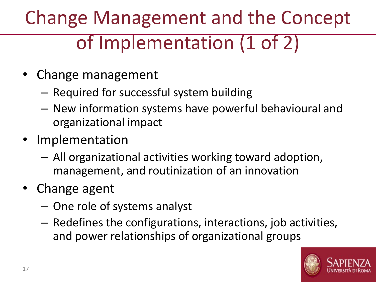# Change Management and the Concept of Implementation (1 of 2)

- Change management
	- Required for successful system building
	- New information systems have powerful behavioural and organizational impact
- Implementation
	- All organizational activities working toward adoption, management, and routinization of an innovation
- Change agent
	- One role of systems analyst
	- Redefines the configurations, interactions, job activities, and power relationships of organizational groups

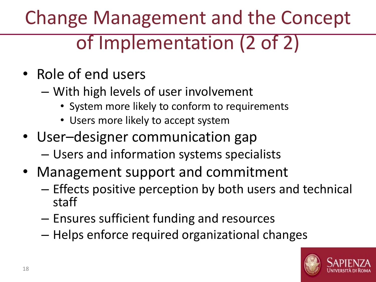# Change Management and the Concept of Implementation (2 of 2)

- Role of end users
	- With high levels of user involvement
		- System more likely to conform to requirements
		- Users more likely to accept system
- User–designer communication gap – Users and information systems specialists
- Management support and commitment
	- Effects positive perception by both users and technical staff
	- Ensures sufficient funding and resources
	- Helps enforce required organizational changes

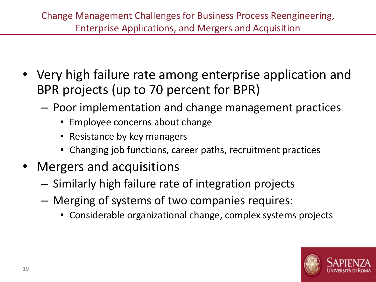- Very high failure rate among enterprise application and BPR projects (up to 70 percent for BPR)
	- Poor implementation and change management practices
		- Employee concerns about change
		- Resistance by key managers
		- Changing job functions, career paths, recruitment practices
- Mergers and acquisitions
	- Similarly high failure rate of integration projects
	- Merging of systems of two companies requires:
		- Considerable organizational change, complex systems projects

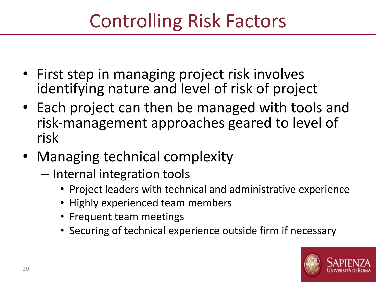# Controlling Risk Factors

- First step in managing project risk involves identifying nature and level of risk of project
- Each project can then be managed with tools and risk-management approaches geared to level of risk
- Managing technical complexity
	- Internal integration tools
		- Project leaders with technical and administrative experience
		- Highly experienced team members
		- Frequent team meetings
		- Securing of technical experience outside firm if necessary

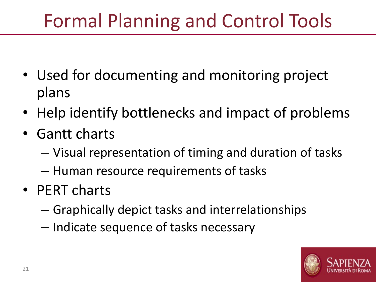# Formal Planning and Control Tools

- Used for documenting and monitoring project plans
- Help identify bottlenecks and impact of problems
- Gantt charts
	- Visual representation of timing and duration of tasks
	- Human resource requirements of tasks
- PERT charts
	- Graphically depict tasks and interrelationships
	- Indicate sequence of tasks necessary

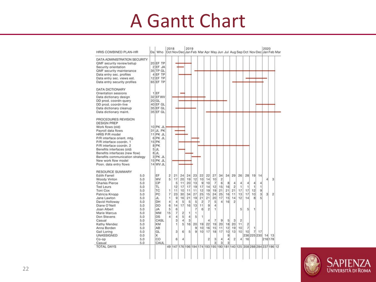### A Gantt Chart

| DATA ADMINISTRATION SECURITY              |           |                |                |                 |                 |         |                            |                         |                |                |                                                                       |                |                |                 |                |                   |                |                |
|-------------------------------------------|-----------|----------------|----------------|-----------------|-----------------|---------|----------------------------|-------------------------|----------------|----------------|-----------------------------------------------------------------------|----------------|----------------|-----------------|----------------|-------------------|----------------|----------------|
| QMF security review/setup                 | 20 EF TP  |                |                |                 |                 |         |                            |                         |                |                |                                                                       |                |                |                 |                |                   |                |                |
| Security orientation                      | $2$ EF JA |                |                |                 |                 |         |                            |                         |                |                |                                                                       |                |                |                 |                |                   |                |                |
| <b>QMF</b> security maintenance           | 35 TP GL  |                |                |                 |                 |         |                            |                         |                |                |                                                                       |                |                |                 |                |                   |                |                |
| Data entry sec. profiles                  | 4 EF TP   |                |                |                 |                 |         |                            |                         |                |                |                                                                       |                |                |                 |                |                   |                |                |
| Data entry sec. views est.                | 12 EF TP  |                |                |                 |                 |         |                            |                         |                |                |                                                                       |                |                |                 |                |                   |                |                |
| Data entry security profiles              | 65 EF TP  |                |                |                 |                 |         |                            |                         |                |                |                                                                       |                |                |                 |                |                   |                |                |
| <b>DATA DICTIONARY</b>                    |           |                |                |                 |                 |         |                            |                         |                |                |                                                                       |                |                |                 |                |                   |                |                |
| Orientation sessions                      | $1$ EF    |                |                |                 |                 |         |                            |                         |                |                |                                                                       |                |                |                 |                |                   |                |                |
| Data dictionary design                    | 32 EF WV  |                |                |                 |                 |         |                            |                         |                |                |                                                                       |                |                |                 |                |                   |                |                |
| DD prod. coordn-query                     | 20 GL     |                |                |                 |                 |         |                            |                         |                |                |                                                                       |                |                |                 |                |                   |                |                |
| DD prod. coordn-live                      | 40 EF GL  |                |                |                 |                 |         |                            |                         |                |                |                                                                       |                |                |                 |                |                   |                |                |
| Data dictionary cleanup                   | 35 EF GL  |                |                |                 |                 |         |                            |                         |                |                |                                                                       |                |                |                 |                |                   |                |                |
| Data dictionary maint.                    | 35 EF GL  |                |                |                 |                 |         |                            |                         |                |                |                                                                       |                |                |                 |                |                   |                |                |
| PROCEDURES REVISION<br><b>DESIGN PREP</b> |           |                |                |                 |                 |         |                            |                         |                |                |                                                                       |                |                |                 |                |                   |                |                |
| Work flows (old)                          | 10 PK JL  |                |                |                 |                 |         |                            |                         |                |                |                                                                       |                |                |                 |                |                   |                |                |
| Payroll data flows                        | 31 JL PK  |                |                |                 |                 |         |                            |                         |                |                |                                                                       |                |                |                 |                |                   |                |                |
| HRIS P/R model                            | 11 PK JL  |                |                |                 |                 |         |                            |                         |                |                |                                                                       |                |                |                 |                |                   |                |                |
| P/R interface orient, mtg.                | 6 PK JL   |                |                |                 |                 |         |                            |                         |                |                |                                                                       |                |                |                 |                |                   |                |                |
| P/R interface coordn. 1                   | $15$ PK   |                |                |                 |                 |         |                            |                         |                |                |                                                                       |                |                |                 |                |                   |                |                |
| P/R interface coordn. 2                   | 8 PK      |                |                |                 |                 |         |                            |                         |                |                |                                                                       |                |                |                 |                |                   |                |                |
| Benefits interfaces (old)                 | 5JL       |                |                |                 |                 |         |                            |                         |                |                |                                                                       |                |                |                 |                |                   |                |                |
| Benefits interfaces (new flow)            | $8$ JL    |                |                |                 |                 |         |                            |                         |                |                |                                                                       |                |                |                 |                |                   |                |                |
| Benefits communication strategy           | 3 PK JL   |                |                |                 |                 |         |                            |                         |                |                |                                                                       |                |                |                 |                |                   |                |                |
| New work flow model                       | 15 PK JL  |                |                |                 |                 |         |                            |                         |                |                |                                                                       |                |                |                 |                |                   |                |                |
| Posn. data entry flows                    | 14 WV JL  |                |                |                 |                 |         |                            |                         |                |                |                                                                       |                |                |                 |                |                   |                |                |
| <b>RESOURCE SUMMARY</b>                   |           |                |                |                 |                 |         |                            |                         |                |                |                                                                       |                |                |                 |                |                   |                |                |
| <b>Edith Farrell</b><br>5.0               | EF        | $\overline{2}$ | 211            | 24              | 24              | 23      | 22                         | 22                      | 27             | 34             |                                                                       | 34 29          | 26             | 28              |                | 19 14             |                |                |
| Woody Vinton<br>5.0                       | WV        | 5              | 17             | 20 <sub>1</sub> | 19              | 12      | 10 <sup>1</sup>            | 14                      | 10             | $\overline{c}$ |                                                                       |                |                |                 |                |                   | $\vert$        | 3              |
| <b>Charles Pierce</b><br>5.0              | CP        |                | 5              | 11              | 20 <sup>1</sup> | 13      | $\lvert \mathbf{9} \rvert$ | 10                      | $\overline{7}$ | 6              | 8 <sup>1</sup>                                                        | 4              | 4              | 4               | $\overline{4}$ | 4                 |                |                |
| <b>Ted Leurs</b><br>5.0                   | TL.       |                | 12             | 17              | 17              | 19      | 17                         | 14                      | 12             | 15             | 16                                                                    | $\overline{2}$ | 1              | 1               | $\mathbf{1}$   | $\mathbf{t}$      |                |                |
| Toni Cox<br>5.0                           | TC        | 1              | 11             | 10              | 11              | 11      | 12                         | 19                      | 19             | 21             | 21                                                                    | 21             | 17             | 17              | 12             | $\overline{9}$    |                |                |
| Patricia Knopp<br>5.0                     | PC        | $\overline{7}$ | 23             | 30 <sup>1</sup> | 34              | 27      | 25                         | 15                      | 24             | 25             | 16                                                                    | 11             | 13             | 17              | 10             | $\overline{3}$    | $\overline{3}$ | $\overline{c}$ |
| 5.0<br>Jane Lawton                        | JL.       | 1              | $\overline{9}$ | 16              | 21              | 19      | 21                         | 21                      | 20             | 17             | 15                                                                    | 14             | 12             | 14              | 8              | $\mathbf{5}$      |                |                |
| 5.0<br>David Holloway                     | DH        | 4              | 4              | 5               | 5               | 5       | $\overline{c}$             | $\overline{7}$          | 5              | $\Delta$       | 16                                                                    | $\overline{2}$ |                |                 |                |                   |                |                |
| Diane O'Neill<br>5.0                      | DO        | 6              | 14             | 17              | 16              | 13      | 11                         | $\overline{9}$          | $\overline{4}$ |                |                                                                       |                |                |                 |                |                   |                |                |
| 5.0<br>Joan Albert                        | <b>JA</b> | 5              | 6              |                 |                 | 7       | 6                          | $\overline{2}$          | 1              |                |                                                                       |                | 5              | $\vert 5 \vert$ | 1              |                   |                |                |
| Marie Marcus<br>5.0                       | MM        | 15             | $\overline{7}$ | $\overline{c}$  | 1               | 1       |                            |                         |                |                |                                                                       |                |                |                 |                |                   |                |                |
| 5.0<br>Don Stevens                        | <b>DS</b> | $\Delta$       | 4              | 5 <sup>1</sup>  | $\overline{4}$  | 5       | 1                          |                         |                |                |                                                                       |                |                |                 |                |                   |                |                |
| 5.0<br>Casual                             | CASL      |                | 3 <sup>1</sup> | $\overline{a}$  | 3               |         |                            | 4                       | $\overline{7}$ | 9              | $\mathbf{5}$                                                          | 3              | $\overline{2}$ |                 |                |                   |                |                |
| Kathy Mendez<br>5.0                       | KM        |                | $\mathbf{1}$   | 5               | 16              | 20      | 19                         | 22                      | 19             | 20             | 18                                                                    | 20             | 11             | $\overline{c}$  |                |                   |                |                |
| Anna Borden<br>5.0                        | AB        |                |                |                 |                 | 9       | 10 <sup>1</sup>            | 16                      | 15             | 11             | 12                                                                    | 19             | 10             | $\overline{7}$  | ۹              |                   |                |                |
| 5.0<br>Gail Loring                        | GL        |                | 3              | 6               | 5 <sup>1</sup>  | $\vert$ | 10 <sup>1</sup>            | 17                      | 18             | 17             | 10 <sup>1</sup>                                                       | 13             | 10             | 10              | 7 <sup>1</sup> | 17                |                |                |
| UNASSIGNED<br>0.0                         | x         |                |                |                 |                 |         |                            |                         |                |                | 9                                                                     |                |                |                 |                | 236 225 230 14 13 |                |                |
| 5.0<br>$Co$ -op                           | CO        |                | 6              | 4               |                 |         |                            | $\overline{\mathbf{c}}$ | 3              | 4              | $\overline{4}$                                                        | $\overline{2}$ | $\overline{4}$ | 16              |                |                   | 216 178        |                |
| 5.0<br>Casual                             | CAUL      |                |                |                 |                 |         |                            |                         | 3              | 3              | 3                                                                     |                |                |                 |                |                   |                |                |
|                                           |           |                |                |                 |                 |         |                            |                         |                |                | 49 147 176 196 194 174 193 195 190 181 140 125 358 288 284 237 196 12 |                |                |                 |                |                   |                |                |

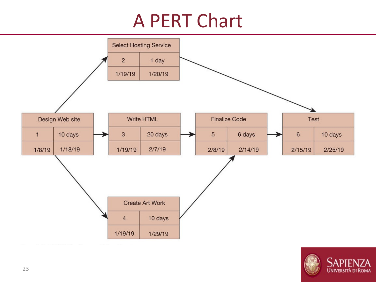### A PERT Chart



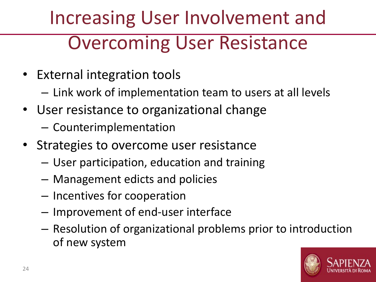# Increasing User Involvement and Overcoming User Resistance

- External integration tools
	- Link work of implementation team to users at all levels
- User resistance to organizational change
	- Counterimplementation
- Strategies to overcome user resistance
	- User participation, education and training
	- Management edicts and policies
	- Incentives for cooperation
	- Improvement of end-user interface
	- Resolution of organizational problems prior to introduction of new system

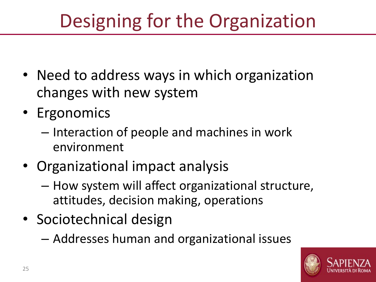# Designing for the Organization

- Need to address ways in which organization changes with new system
- Ergonomics
	- Interaction of people and machines in work environment
- Organizational impact analysis
	- How system will affect organizational structure, attitudes, decision making, operations
- Sociotechnical design
	- Addresses human and organizational issues